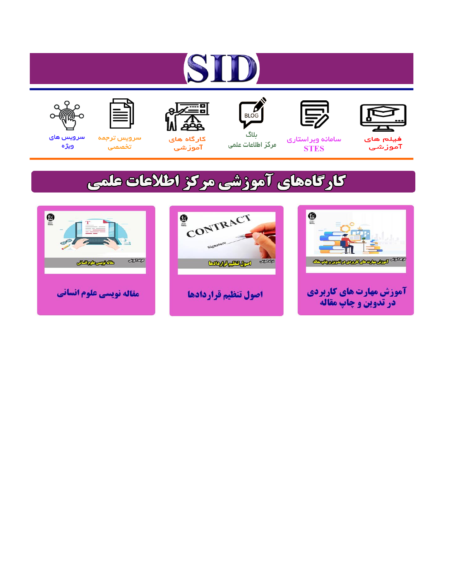# ST









# سامائه ويراستاري **STES**



ىلاگ مرکز اطلاعات علمی



ققق کارگاه های

آموزشي

空



تخصصى

سرویس های ويژه

# كارگاههای آموزشی مركز اطلاعات علمی





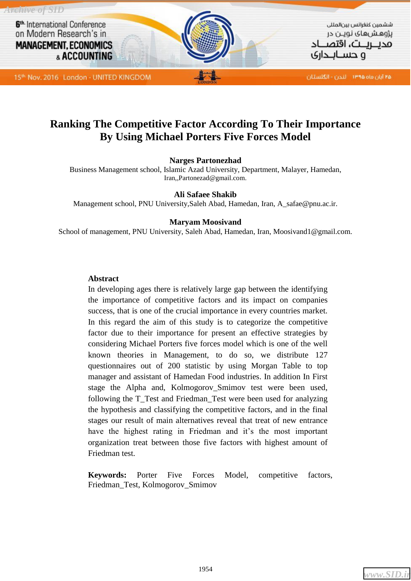

# **Ranking The Competitive Factor According To Their Importance By Using Michael Porters Five Forces Model**

## **Narges Partonezhad**

Business Management school, Islamic Azad University, Department, Malayer, Hamedan, Iran,[,Partonezad@gmail.com.](mailto:Partonezad@gmail.com)

#### **Ali Safaee Shakib**

Management school, PNU University,Saleh Abad, Hamedan, Iran, A\_safae@pnu.ac.ir.

#### **Maryam Moosivand**

School of management, PNU University, Saleh Abad, Hamedan, Iran, Moosivand1@gmail.com.

#### **Abstract**

In developing ages there is relatively large gap between the identifying the importance of competitive factors and its impact on companies success, that is one of the crucial importance in every countries market. In this regard the aim of this study is to categorize the competitive factor due to their importance for present an effective strategies by considering Michael Porters five forces model which is one of the well known theories in Management, to do so, we distribute 127 questionnaires out of 200 statistic by using Morgan Table to top manager and assistant of Hamedan Food industries. In addition In First stage the Alpha and, Kolmogorov\_Smimov test were been used, following the T\_Test and Friedman\_Test were been used for analyzing the hypothesis and classifying the competitive factors, and in the final stages our result of main alternatives reveal that treat of new entrance have the highest rating in Friedman and it's the most important organization treat between those five factors with highest amount of Friedman test.

**Keywords:** Porter Five Forces Model, competitive factors, Friedman\_Test, Kolmogorov\_Smimov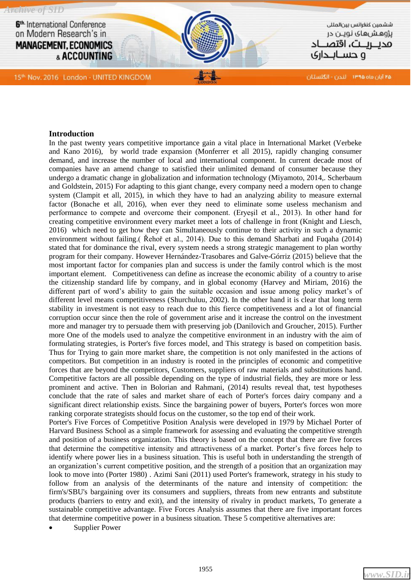

#### **Introduction**

In the past twenty years competitive importance gain a vital place in International Market (Verbeke and Kano 2016), by world trade expansion (Monferrer et all 2015), rapidly changing consumer demand, and increase the number of local and international component. In current decade most of companies have an amend change to satisfied their unlimited demand of consumer because they undergo a dramatic change in globalization and information technology (Miyamoto, 2014,. Scherbaum and Goldstein, 2015) For adapting to this giant change, every company need a modern open to change system (Clampit et all, 2015), in which they have to had an analyzing ability to measure external factor (Bonache et all, 2016), when ever they need to eliminate some useless mechanism and performance to compete and overcome their component. (Eryeşil et al., 2013). In other hand for creating competitive environment every market meet a lots of challenge in front (Knight and Liesch, 2016) which need to get how they can Simultaneously continue to their activity in such a dynamic environment without failing.( Řehoř et al., 2014). Due to this demand Sharbati and Fuqaha (2014) stated that for dominance the rival, every system needs a strong strategic management to plan worthy program for their company. However Hernández-Trasobares and Galve-Górriz (2015) believe that the most important factor for companies plan and success is under the family control which is the most important element. Competitiveness can define as increase the economic ability of a country to arise the citizenship standard life by company, and in global economy (Harvey and Miriam, 2016) the different part of word's ability to gain the suitable occasion and issue among policy market's of different level means competitiveness (Shurchuluu, 2002). In the other hand it is clear that long term stability in investment is not easy to reach due to this fierce competitiveness and a lot of financial corruption occur since then the role of government arise and it increase the control on the investment more and manager try to persuade them with preserving job (Danilovich and Groucher, 2015). Further more One of the models used to analyze the competitive environment in an industry with the aim of formulating strategies, is Porter's five forces model, and This strategy is based on competition basis. Thus for Trying to gain more market share, the competition is not only manifested in the actions of competitors. But competition in an industry is rooted in the principles of economic and competitive forces that are beyond the competitors, Customers, suppliers of raw materials and substitutions hand. Competitive factors are all possible depending on the type of industrial fields, they are more or less prominent and active. Then in Bolorian and Rahmani, (2014) results reveal that, test hypotheses conclude that the rate of sales and market share of each of Porter's forces dairy company and a significant direct relationship exists. Since the bargaining power of buyers, Porter's forces won more ranking corporate strategists should focus on the customer, so the top end of their work.

Porter's Five Forces of Competitive Position Analysis were developed in 1979 by Michael Porter of Harvard Business School as a simple framework for assessing and evaluating the competitive strength and position of a business organization. This theory is based on the concept that there are five forces that determine the competitive intensity and attractiveness of a market. Porter's five forces help to identify where power lies in a business situation. This is useful both in understanding the strength of an organization's current competitive position, and the strength of a position that an organization may look to move into (Porter 1980) . Azimi Sani (2011) used Porter's framework, strategy in his study to follow from an analysis of the determinants of the nature and intensity of competition: the firm's/SBU's bargaining over its consumers and suppliers, threats from new entrants and substitute products (barriers to entry and exit), and the intensity of rivalry in product markets, To generate a sustainable competitive advantage. Five Forces Analysis assumes that there are five important forces that determine competitive power in a business situation. These 5 competitive alternatives are:

Supplier Power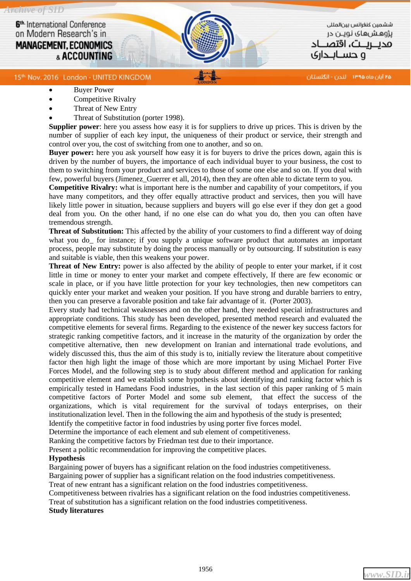ششمين كنغرائس بين المللى پژوهشهای نویـن در محصصت، اقتص و حســانــداری

#### 15th: Nov. 2016 London - UNITED KINGDOM

۴۵ آبان ماه ۱۳۹۵ - اندن - انگلستان

- Buyer Power
- Competitive Rivalry
- Threat of New Entry
- Threat of Substitution (porter 1998).

**Supplier power**: here you assess how easy it is for suppliers to drive up prices. This is driven by the number of supplier of each key input, the uniqueness of their product or service, their strength and control over you, the cost of switching from one to another, and so on.

**Buyer power:** here you ask yourself how easy it is for buyers to drive the prices down, again this is driven by the number of buyers, the importance of each individual buyer to your business, the cost to them to switching from your product and services to those of some one else and so on. If you deal with few, powerful buyers (Jimenez\_Guerrer et all, 2014), then they are often able to dictate term to you.

**Competitive Rivalry:** what is important here is the number and capability of your competitors, if you have many competitors, and they offer equally attractive product and services, then you will have likely little power in situation, because suppliers and buyers will go else ever if they don get a good deal from you. On the other hand, if no one else can do what you do, then you can often have tremendous strength.

**Threat of Substitution:** This affected by the ability of your customers to find a different way of doing what you do for instance; if you supply a unique software product that automates an important process, people may substitute by doing the process manually or by outsourcing. If substitution is easy and suitable is viable, then this weakens your power.

**Threat of New Entry:** power is also affected by the ability of people to enter your market, if it cost little in time or money to enter your market and compete effectively, If there are few economic or scale in place, or if you have little protection for your key technologies, then new competitors can quickly enter your market and weaken your position. If you have strong and durable barriers to entry, then you can preserve a favorable position and take fair advantage of it. (Porter 2003).

Every study had technical weaknesses and on the other hand, they needed special infrastructures and appropriate conditions. This study has been developed, presented method research and evaluated the competitive elements for several firms. Regarding to the existence of the newer key success factors for strategic ranking competitive factors, and it increase in the maturity of the organization by order the competitive alternative, then new development on Iranian and international trade evolutions, and widely discussed this, thus the aim of this study is to, initially review the literature about competitive factor then high light the image of those which are more important by using Michael Porter Five Forces Model, and the following step is to study about different method and application for ranking competitive element and we establish some hypothesis about identifying and ranking factor which is empirically tested in Hamedans Food industries, in the last section of this paper ranking of 5 main competitive factors of Porter Model and some sub element, that effect the success of the organizations, which is vital requirement for the survival of todays enterprises, on their institutionalization level. Then in the following the aim and hypothesis of the study is presented;

Identify the competitive factor in food industries by using porter five forces model.

Determine the importance of each element and sub element of competitiveness.

Ranking the competitive factors by Friedman test due to their importance. Present a politic recommendation for improving the competitive places.

#### **Hypothesis**

Bargaining power of buyers has a significant relation on the food industries competitiveness.

Bargaining power of supplier has a significant relation on the food industries competitiveness.

Treat of new entrant has a significant relation on the food industries competitiveness.

Competitiveness between rivalries has a significant relation on the food industries competitiveness.

Treat of substitution has a significant relation on the food industries competitiveness.

#### **Study literatures**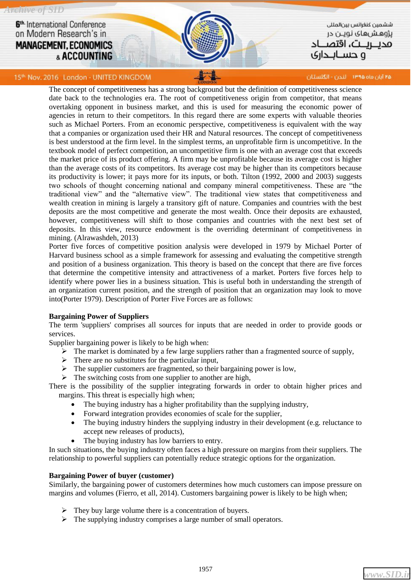*Archive of SID*

6<sup>th.</sup> International Conference on Modern Research's in **MANAGEMENT, ECONOMICS** & ACCOUNTING

ششمين كنغرائس بين المللى پژوهشهای نویـن در محصصت، اقتص ہ حسابحانی

15th: Nov. 2016 London - UNITED KINGDOM

۲۵ آبان ماه ۱۳۹۵ - لندن - انگلستان

The concept of competitiveness has a strong background but the definition of competitiveness science date back to the technologies era. The root of competitiveness origin from competitor, that means overtaking opponent in business market, and this is used for measuring the economic power of agencies in return to their competitors. In this regard there are some experts with valuable theories such as Michael Porters. From an economic perspective, competitiveness is equivalent with the way that a companies or organization used their HR and Natural resources. The concept of competitiveness is best understood at the firm level. In the simplest terms, an unprofitable firm is uncompetitive. In the textbook model of perfect competition, an uncompetitive firm is one with an average cost that exceeds the market price of its product offering. A firm may be unprofitable because its average cost is higher than the average costs of its competitors. Its average cost may be higher than its competitors because its productivity is lower; it pays more for its inputs, or both. Tilton (1992, 2000 and 2003) suggests two schools of thought concerning national and company mineral competitiveness. These are "the traditional view" and the "alternative view". The traditional view states that competitiveness and wealth creation in mining is largely a transitory gift of nature. Companies and countries with the best deposits are the most competitive and generate the most wealth. Once their deposits are exhausted, however, competitiveness will shift to those companies and countries with the next best set of deposits. In this view, resource endowment is the overriding determinant of competitiveness in mining. (Alrawashdeh, 2013)

Porter five forces of competitive position analysis were developed in 1979 by Michael Porter of Harvard business school as a simple framework for assessing and evaluating the competitive strength and position of a business organization. This theory is based on the concept that there are five forces that determine the competitive intensity and attractiveness of a market. Porters five forces help to identify where power lies in a business situation. This is useful both in understanding the strength of an organization current position, and the strength of position that an organization may look to move into(Porter 1979). Description of Porter Five Forces are as follows:

#### **Bargaining Power of Suppliers**

The term 'suppliers' comprises all sources for inputs that are needed in order to provide goods or services.

Supplier bargaining power is likely to be high when:

- $\triangleright$  The market is dominated by a few large suppliers rather than a fragmented source of supply,
- $\triangleright$  There are no substitutes for the particular input,
- $\triangleright$  The supplier customers are fragmented, so their bargaining power is low,
- $\triangleright$  The switching costs from one supplier to another are high,

There is the possibility of the supplier integrating forwards in order to obtain higher prices and margins. This threat is especially high when;

- The buying industry has a higher profitability than the supplying industry,
- Forward integration provides economies of scale for the supplier,
- The buying industry hinders the supplying industry in their development (e.g. reluctance to accept new releases of products),
- The buying industry has low barriers to entry.

In such situations, the buying industry often faces a high pressure on margins from their suppliers. The relationship to powerful suppliers can potentially reduce strategic options for the organization.

#### **Bargaining Power of buyer (customer)**

Similarly, the bargaining power of customers determines how much customers can impose pressure on margins and volumes (Fierro, et all, 2014). Customers bargaining power is likely to be high when;

- $\triangleright$  They buy large volume there is a concentration of buyers.
- $\triangleright$  The supplying industry comprises a large number of small operators.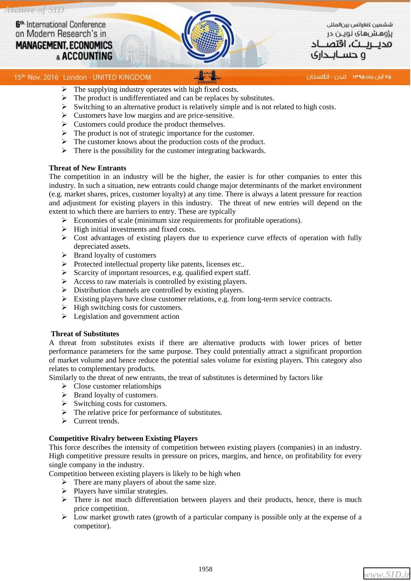ششمين كنغرانس بين لمللى پژوهشهای نویـن در محىرىت، اقتص و حســانــداری

۴۵ آبان ماه ۱۳۹۵ - اندن - انگلستان

#### 15th. Nov. 2016 London - UNITED KINGDOM

- $\triangleright$  The supplying industry operates with high fixed costs.
- $\triangleright$  The product is undifferentiated and can be replaces by substitutes.
- $\triangleright$  Switching to an alternative product is relatively simple and is not related to high costs.
- $\triangleright$  Customers have low margins and are price-sensitive.
- $\triangleright$  Customers could produce the product themselves.
- $\triangleright$  The product is not of strategic importance for the customer.
- $\triangleright$  The customer knows about the production costs of the product.
- $\triangleright$  There is the possibility for the customer integrating backwards.

#### **Threat of New Entrants**

The competition in an industry will be the higher, the easier is for other companies to enter this industry. In such a situation, new entrants could change major determinants of the market environment (e.g. market shares, prices, customer loyalty) at any time. There is always a latent pressure for reaction and adjustment for existing players in this industry. The threat of new entries will depend on the extent to which there are barriers to entry. These are typically

- $\triangleright$  Economies of scale (minimum size requirements for profitable operations).
- $\triangleright$  High initial investments and fixed costs.
- $\triangleright$  Cost advantages of existing players due to experience curve effects of operation with fully depreciated assets.
- $\triangleright$  Brand loyalty of customers
- $\triangleright$  Protected intellectual property like patents, licenses etc..
- $\triangleright$  Scarcity of important resources, e.g. qualified expert staff.
- $\triangleright$  Access to raw materials is controlled by existing players.
- Distribution channels are controlled by existing players.
- $\triangleright$  Existing players have close customer relations, e.g. from long-term service contracts.
- $\triangleright$  High switching costs for customers.
- $\triangleright$  Legislation and government action

#### **Threat of Substitutes**

A threat from substitutes exists if there are alternative products with lower prices of better performance parameters for the same purpose. They could potentially attract a significant proportion of market volume and hence reduce the potential sales volume for existing players. This category also relates to complementary products.

Similarly to the threat of new entrants, the treat of substitutes is determined by factors like

- $\triangleright$  Close customer relationships
- $\triangleright$  Brand loyalty of customers.
- $\triangleright$  Switching costs for customers.
- $\triangleright$  The relative price for performance of substitutes.
- $\triangleright$  Current trends.

#### **Competitive Rivalry between Existing Players**

This force describes the intensity of competition between existing players (companies) in an industry. High competitive pressure results in pressure on prices, margins, and hence, on profitability for every single company in the industry.

Competition between existing players is likely to be high when

- $\triangleright$  There are many players of about the same size.
- $\triangleright$  Players have similar strategies.
- $\triangleright$  There is not much differentiation between players and their products, hence, there is much price competition.
- $\triangleright$  Low market growth rates (growth of a particular company is possible only at the expense of a competitor).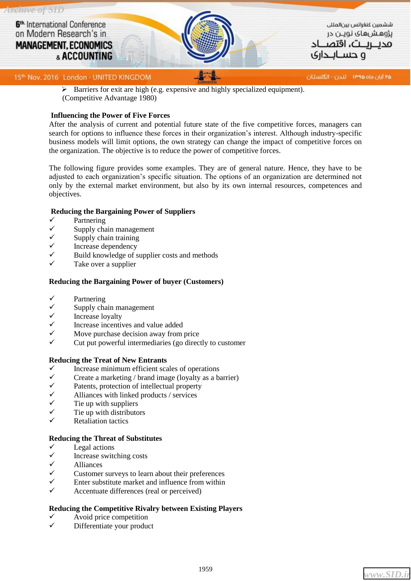

 $\triangleright$  Barriers for exit are high (e.g. expensive and highly specialized equipment). (Competitive Advantage 1980)

#### **Influencing the Power of Five Forces**

After the analysis of current and potential future state of the five competitive forces, managers can search for options to influence these forces in their organization's interest. Although industry-specific business models will limit options, the own strategy can change the impact of competitive forces on the organization. The objective is to reduce the power of competitive forces.

The following figure provides some examples. They are of general nature. Hence, they have to be adjusted to each organization's specific situation. The options of an organization are determined not only by the external market environment, but also by its own internal resources, competences and objectives.

#### **Reducing the Bargaining Power of Suppliers**

- Partnering
- Supply chain management
- $\checkmark$  Supply chain training<br> $\checkmark$  Increase dependency
- Increase dependency
- Build knowledge of supplier costs and methods
- Take over a supplier

#### **Reducing the Bargaining Power of buyer (Customers)**

- Partnering
- Supply chain management
- Increase loyalty
- Increase incentives and value added
- Move purchase decision away from price
- Cut put powerful intermediaries (go directly to customer

#### **Reducing the Treat of New Entrants**

- Increase minimum efficient scales of operations<br>  $\checkmark$  Create a marketing / brand image (lovalty as a b
- $\checkmark$  Create a marketing / brand image (loyalty as a barrier)<br> $\checkmark$  Patents protection of intellectual property
- $\checkmark$  Patents, protection of intellectual property<br> $\checkmark$  Alliances with linked products / services
- Alliances with linked products / services
- 
- $\checkmark$  Tie up with suppliers<br> $\checkmark$  Tie up with distributo Tie up with distributors
- Retaliation tactics

#### **Reducing the Threat of Substitutes**

- Legal actions
- $\checkmark$  Increase switching costs
- $\checkmark$  Alliances
- $\checkmark$  Customer surveys to learn about their preferences  $\checkmark$  Enter substitute market and influence from within
- Enter substitute market and influence from within
- Accentuate differences (real or perceived)

#### **Reducing the Competitive Rivalry between Existing Players**

- Avoid price competition
- Differentiate your product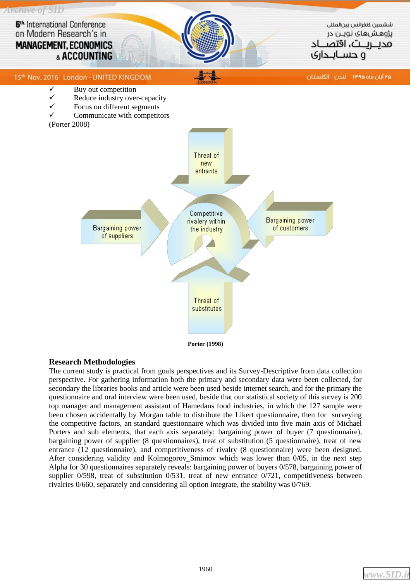

#### **Research Methodologies**

The current study is practical from goals perspectives and its Survey-Descriptive from data collection perspective. For gathering information both the primary and secondary data were been collected, for secondary the libraries books and article were been used beside internet search, and for the primary the questionnaire and oral interview were been used, beside that our statistical society of this survey is 200 top manager and management assistant of Hamedans food industries, in which the 127 sample were been chosen accidentally by Morgan table to distribute the Likert questionnaire, then for surveying the competitive factors, an standard questionnaire which was divided into five main axis of Michael Porters and sub elements, that each axis separately: bargaining power of buyer (7 questionnaire), bargaining power of supplier (8 questionnaires), treat of substitution (5 questionnaire), treat of new entrance (12 questionnaire), and competitiveness of rivalry (8 questionnaire) were been designed. After considering validity and Kolmogorov\_Smimov which was lower than 0/05, in the next step Alpha for 30 questionnaires separately reveals: bargaining power of buyers 0/578, bargaining power of supplier 0/598, treat of substitution 0/531, treat of new entrance 0/721, competitiveness between rivalries 0/660, separately and considering all option integrate, the stability was 0/769.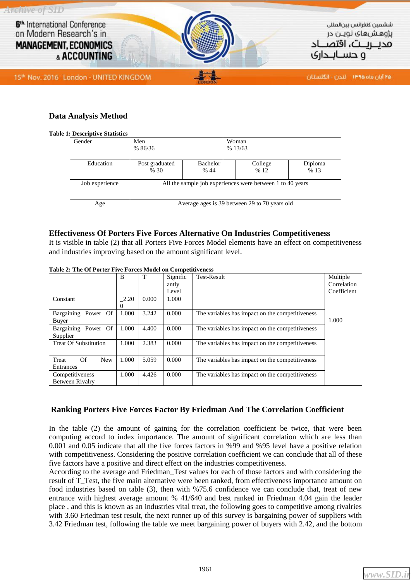

## **Data Analysis Method**

#### **Table 1: Descriptive Statistics**

| Gender         | Men<br>Woman<br>%13/63<br>% 86/36                         |                                                       |  |  |  |  |  |  |
|----------------|-----------------------------------------------------------|-------------------------------------------------------|--|--|--|--|--|--|
| Education      | Post graduated<br>% 30                                    | Bachelor<br>College<br>Diploma<br>%13<br>% 44<br>% 12 |  |  |  |  |  |  |
| Job experience | All the sample job experiences were between 1 to 40 years |                                                       |  |  |  |  |  |  |
| Age            | Average ages is 39 between 29 to 70 years old             |                                                       |  |  |  |  |  |  |

#### **Effectiveness Of Porters Five Forces Alternative On Industries Competitiveness**

It is visible in table (2) that all Porters Five Forces Model elements have an effect on competitiveness and industries improving based on the amount significant level.

|                                                   | B     | T     | Signific | <b>Test-Result</b>                              | Multiple    |
|---------------------------------------------------|-------|-------|----------|-------------------------------------------------|-------------|
|                                                   |       |       | antly    |                                                 | Correlation |
|                                                   |       |       | Level    |                                                 | Coefficient |
| Constant                                          | 2.20  | 0.000 | 1.000    |                                                 |             |
|                                                   |       |       |          |                                                 |             |
| Bargaining<br>Power Of                            | 1.000 | 3.242 | 0.000    | The variables has impact on the competitiveness |             |
| Buyer                                             |       |       |          |                                                 |             |
| Bargaining<br>1.000<br>4.400<br>0.000<br>Power Of |       |       |          | The variables has impact on the competitiveness |             |
| Supplier                                          |       |       |          |                                                 |             |
| <b>Treat Of Substitution</b>                      | 1.000 | 2.383 | 0.000    | The variables has impact on the competitiveness |             |
|                                                   |       |       |          |                                                 |             |
| Of<br>Treat<br><b>New</b>                         | 1.000 | 5.059 | 0.000    | The variables has impact on the competitiveness |             |
| Entrances                                         |       |       |          |                                                 |             |
| Competitiveness                                   | 1.000 | 4.426 | 0.000    | The variables has impact on the competitiveness |             |
| Between Rivalry                                   |       |       |          |                                                 |             |

**Table 2: The Of Porter Five Forces Model on Competitiveness**

## **Ranking Porters Five Forces Factor By Friedman And The Correlation Coefficient**

In the table (2) the amount of gaining for the correlation coefficient be twice, that were been computing accord to index importance. The amount of significant correlation which are less than 0.001 and 0.05 indicate that all the five forces factors in %99 and %95 level have a positive relation with competitiveness. Considering the positive correlation coefficient we can conclude that all of these five factors have a positive and direct effect on the industries competitiveness.

According to the average and Friedman\_Test values for each of those factors and with considering the result of T\_Test, the five main alternative were been ranked, from effectiveness importance amount on food industries based on table (3), then with %75.6 confidence we can conclude that, treat of new entrance with highest average amount % 41/640 and best ranked in Friedman 4.04 gain the leader place , and this is known as an industries vital treat, the following goes to competitive among rivalries with 3.60 Friedman test result, the next runner up of this survey is bargaining power of suppliers with 3.42 Friedman test, following the table we meet bargaining power of buyers with 2.42, and the bottom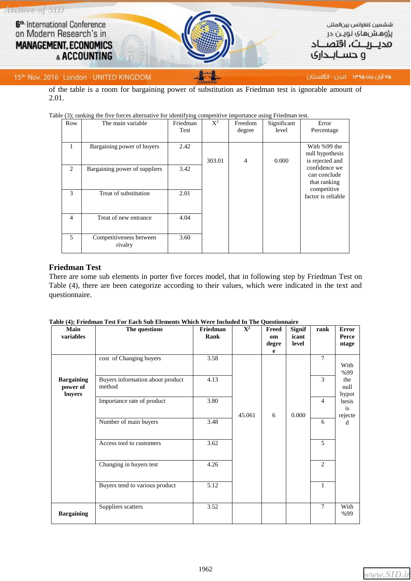

#### 15th: Nov. 2016 London - UNITED KINGDOM

۲۵ آبان ماه ۱۳۹۵ - لندن - انگلستان

of the table is a room for bargaining power of substitution as Friedman test is ignorable amount of 2.01.

| \ = 1 1<br>Row | The main variable                  | Friedman<br>Test | $X^2$  | Freedom<br>degree | Significant<br>level | Error<br>Percentage                                |
|----------------|------------------------------------|------------------|--------|-------------------|----------------------|----------------------------------------------------|
| 1              | Bargaining power of buyers         | 2.42             | 303.01 | $\overline{4}$    | 0.000                | With %99 the<br>null hypothesis<br>is rejected and |
| 2              | Bargaining power of suppliers      | 3.42             |        |                   |                      | confidence we<br>can conclude<br>that ranking      |
| 3              | Treat of substitution              | 2.01             |        |                   |                      | competitive<br>factor is reliable                  |
| $\overline{4}$ | Treat of new entrance              | 4.04             |        |                   |                      |                                                    |
| 5              | Competitiveness between<br>rivalry | 3.60             |        |                   |                      |                                                    |

#### Table (3); ranking the five forces alternative for identifying competitive importance using Friedman test.

#### **Friedman Test**

There are some sub elements in porter five forces model, that in following step by Friedman Test on Table (4), there are been categorize according to their values, which were indicated in the text and questionnaire.

| Main<br>variables                       | The questions                              | Friedman<br>Rank | $\mathbf{X}^2$ | Freed<br>om<br>degre<br>e | <b>Signif</b><br>icant<br>level | rank           | <b>Error</b><br>Perce<br>ntage |
|-----------------------------------------|--------------------------------------------|------------------|----------------|---------------------------|---------------------------------|----------------|--------------------------------|
|                                         | cost of Changing buyers                    | 3.58             |                |                           |                                 | $\overline{7}$ | With<br>%99                    |
| <b>Bargaining</b><br>power of<br>buyers | Buyers information about product<br>method | 4.13             |                |                           |                                 | 3              | the<br>null<br>hypot           |
|                                         | Importance rate of product                 | 3.80             | 45.061         | 6                         | 0.000                           | $\overline{4}$ | hesis<br>is<br>rejecte         |
|                                         | Number of main buyers                      | 3.48             |                |                           |                                 | 6              | d                              |
|                                         | Access tool to customers                   | 3.62             |                |                           |                                 | 5              |                                |
|                                         | Changing in buyers test                    | 4.26             |                |                           |                                 | $\overline{2}$ |                                |
|                                         | Buyers tend to various product             | 5.12             |                |                           |                                 | $\mathbf{1}$   |                                |
| <b>Bargaining</b>                       | Suppliers scatters                         | 3.52             |                |                           |                                 | $\overline{7}$ | With<br>%99                    |

|  | Table (4); Friedman Test For Each Sub Elements Which Were Included In The Questionnaire |  |  |  |  |
|--|-----------------------------------------------------------------------------------------|--|--|--|--|
|--|-----------------------------------------------------------------------------------------|--|--|--|--|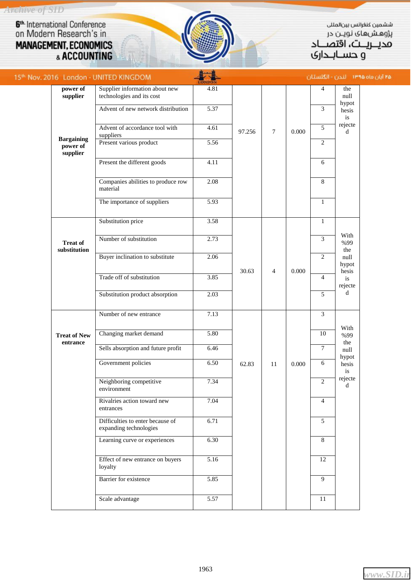*Archive of SID*

6<sup>th</sup> International Conference<br>on Modern Research's in **MANAGEMENT, ECONOMICS**<br>& ACCOUNTING

ELAN.

ششمين كنغرانس بين المللى پژوهشهای نویـن در مديـــريـــت، اُقتصـــاد<br>مديــريــت، اقتصـــاد

Pø

|  |                                           | 15th Nov. 2016 London - UNITED KINGDOM                      |              |                  |                |       |                        | آبان ماه ۱۳۹۵ - انتخار: - انگلستان |  |
|--|-------------------------------------------|-------------------------------------------------------------|--------------|------------------|----------------|-------|------------------------|------------------------------------|--|
|  | power of<br>supplier                      | Supplier information about new<br>technologies and its cost | 4.81         |                  |                |       | 4                      | the<br>null                        |  |
|  | <b>Bargaining</b><br>power of<br>supplier | Advent of new network distribution                          | 5.37         |                  |                |       | 3                      | hypot<br>hesis<br>is               |  |
|  |                                           | Advent of accordance tool with<br>suppliers                 | 4.61         | 97.256<br>$\tau$ | 0.000          | 5     | rejecte<br>$\mathbf d$ |                                    |  |
|  |                                           | Present various product                                     | 5.56         |                  |                |       | $\boldsymbol{2}$       |                                    |  |
|  |                                           | Present the different goods                                 | 4.11         |                  |                |       | 6                      |                                    |  |
|  |                                           | Companies abilities to produce row<br>material              | 2.08         |                  |                |       | 8                      |                                    |  |
|  |                                           | The importance of suppliers                                 | 5.93         |                  |                |       | $\mathbf{1}$           |                                    |  |
|  |                                           | Substitution price                                          | 3.58         |                  |                |       | $\mathbf{1}$           |                                    |  |
|  | <b>Treat of</b><br>substitution           | Number of substitution                                      | 2.73         |                  |                |       | 3                      | With<br>%99<br>the                 |  |
|  |                                           | Buyer inclination to substitute                             | 2.06         | 30.63            | $\overline{4}$ | 0.000 | $\overline{c}$         | null<br>hypot<br>hesis             |  |
|  |                                           | Trade off of substitution                                   | 3.85         |                  |                |       | $\overline{4}$         | is<br>rejecte                      |  |
|  |                                           | Substitution product absorption                             | 2.03         |                  |                |       | 5                      | $\mathbf d$                        |  |
|  |                                           | Number of new entrance                                      | 7.13         |                  |                |       | 3                      | With                               |  |
|  | <b>Treat of New</b><br>entrance           | Changing market demand                                      | 5.80         |                  |                |       | $10\,$                 | %99<br>the                         |  |
|  |                                           | Sells absorption and future profit<br>Government policies   | 6.46<br>6.50 | 62.83<br>11      |                |       | $\tau$                 | null<br>hypot<br>hesis<br>is       |  |
|  |                                           |                                                             |              |                  |                | 0.000 | 6                      |                                    |  |
|  |                                           | Neighboring competitive<br>environment                      | 7.34         |                  |                |       | 2                      | rejecte<br>d                       |  |
|  |                                           | Rivalries action toward new<br>entrances                    | 7.04         |                  |                |       | $\overline{4}$         |                                    |  |
|  |                                           | Difficulties to enter because of<br>expanding technologies  | 6.71         |                  |                |       | 5                      |                                    |  |
|  |                                           | Learning curve or experiences                               | 6.30         |                  |                |       | 8                      |                                    |  |
|  |                                           | Effect of new entrance on buyers<br>loyalty                 | 5.16         |                  |                |       | 12                     |                                    |  |
|  |                                           | Barrier for existence                                       | 5.85         |                  |                |       | 9                      |                                    |  |
|  |                                           | Scale advantage                                             | 5.57         |                  |                |       | 11                     |                                    |  |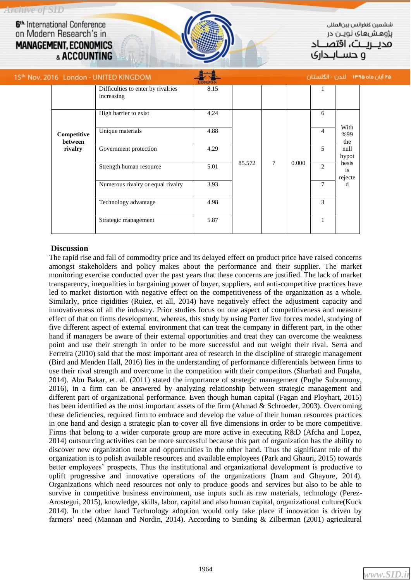*Archive of SID* 6<sup>th.</sup> International Conference on Modern Research's in

**MANAGEMENT, ECONOMICS** & ACCOUNTING

ششمين كنغرانس بين لمللر پژوهشهای نویـن در محىرىت، اقتص

۱۵۵ آبار

و حســانــداری

|  |                                   | 5 <sup>th</sup> Nov. 2016 London - UNITED KINGDOM |      |        |                         |                |                | رماه ۱۳۹۵ - لندن - انگلستان                                   |  |
|--|-----------------------------------|---------------------------------------------------|------|--------|-------------------------|----------------|----------------|---------------------------------------------------------------|--|
|  |                                   | Difficulties to enter by rivalries<br>increasing  | 8.15 |        |                         |                |                |                                                               |  |
|  |                                   | High barrier to exist                             | 4.24 |        |                         |                | 6              |                                                               |  |
|  | Competitive<br>between<br>rivalry | Unique materials                                  | 4.88 |        | $\overline{7}$<br>0.000 |                | $\overline{4}$ | With<br>%99<br>the<br>null<br>hypot<br>hesis<br>is<br>rejecte |  |
|  |                                   | Government protection                             | 4.29 |        |                         |                | 5              |                                                               |  |
|  |                                   | Strength human resource                           | 5.01 | 85.572 |                         |                | 2              |                                                               |  |
|  |                                   | Numerous rivalry or equal rivalry                 | 3.93 |        |                         | $\overline{7}$ | d              |                                                               |  |
|  |                                   | Technology advantage                              | 4.98 |        |                         |                | 3              |                                                               |  |
|  |                                   | Strategic management                              | 5.87 |        |                         |                | $\mathbf{1}$   |                                                               |  |

# **Discussion**

The rapid rise and fall of commodity price and its delayed effect on product price have raised concerns amongst stakeholders and policy makes about the performance and their supplier. The market monitoring exercise conducted over the past years that these concerns are justified. The lack of market transparency, inequalities in bargaining power of buyer, suppliers, and anti-competitive practices have led to market distortion with negative effect on the competitiveness of the organization as a whole. Similarly, price rigidities (Ruiez, et all, 2014) have negatively effect the adjustment capacity and innovativeness of all the industry. Prior studies focus on one aspect of competitiveness and measure effect of that on firms development, whereas, this study by using Porter five forces model, studying of five different aspect of external environment that can treat the company in different part, in the other hand if managers be aware of their external opportunities and treat they can overcome the weakness point and use their strength in order to be more successful and out weight their rival*.* Serra and Ferreira (2010) said that the most important area of research in the discipline of strategic management (Bird and Menden Hall, 2016) lies in the understanding of performance differentials between firms to use their rival strength and overcome in the competition with their competitors (Sharbati and Fuqaha, 2014). Abu Bakar, et. al. (2011) stated the importance of strategic management (Pughe Subramony, 2016), in a firm can be answered by analyzing relationship between strategic management and different part of organizational performance. Even though human capital (Fagan and Ployhart, 2015) has been identified as the most important assets of the firm (Ahmad & Schroeder, 2003). Overcoming these deficiencies, required firm to embrace and develop the value of their human resources practices in one hand and design a strategic plan to cover all five dimensions in order to be more competitive. Firms that belong to a wider corporate group are more active in executing R&D (Afcha and Lopez, 2014) outsourcing activities can be more successful because this part of organization has the ability to discover new organization treat and opportunities in the other hand. Thus the significant role of the organization is to polish available resources and available employees (Park and Ghauri, 2015) towards better employees' prospects. Thus the institutional and organizational development is productive to uplift progressive and innovative operations of the organizations (Inam and Ghayure, 2014). Organizations which need resources not only to produce goods and services but also to be able to survive in competitive business environment, use inputs such as raw materials, technology (Perez-Arostegui, 2015), knowledge, skills, labor, capital and also human capital, organizational culture(Kuck 2014). In the other hand Technology adoption would only take place if innovation is driven by farmers' need (Mannan and Nordin, 2014). According to Sunding & Zilberman (2001) agricultural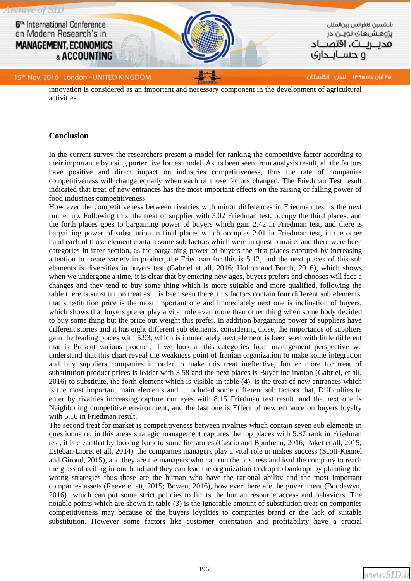

innovation is considered as an important and necessary component in the development of agricultural activities*.*

#### **Conclusion**

In the current survey the researchers present a model for ranking the competitive factor according to their importance by using porter five forces model. As its been seen from analysis result, all the factors have positive and direct impact on industries competitiveness, thus the rate of companies competitiveness will change equally when each of those factors changed. The Friedman Test result indicated that treat of new entrances has the most important effects on the raising or falling power of food industries competitiveness.

How ever the competitiveness between rivalries with minor differences in Friedman test is the next runner up. Following this, the treat of supplier with 3.02 Friedman test, occupy the third places, and the forth places goes to bargaining power of buyers which gain 2.42 in Friedman test, and there is bargaining power of substitution in final places which occupies 2.01 in Friedman test, in the other hand each of those element contain some sub factors which were in questionnaire, and there were been categories in inter section, as for bargaining power of buyers the first places captured by increasing attention to create variety in product, the Friedman for this is 5.12, and the next places of this sub elements is diversities in buyers test (Gabriel et all, 2016; Holton and Burch, 2016), which shows when we undergone a time, it is clear that by entering new ages, buyers prefers and chooses will face a changes and they tend to buy some thing which is more suitable and more qualified, following the table there is substitution treat as it is been seen there, this factors contain four different sub elements, that substitution price is the most important one and immediately next one is inclination of buyers, which shows that buyers prefer play a vital role even more than other thing when some body decided to buy some thing but the price out weight this prefer. In addition bargaining power of suppliers have different stories and it has eight different sub elements, considering those, the importance of suppliers gain the leading places with 5.93, which is immediately next element is been seen with little different that is Present various product, if we look at this categories from management perspective we understand that this chart reveal the weakness point of Iranian organization to make some integration and buy suppliers companies in order to make this treat ineffective, further more for treat of substitution product prices is leader with 3.58 and the next places is Buyer inclination (Gabriel, et all, 2016) to substitute, the forth element which is visible in table (4), is the treat of new entrances which is the most important main elements and it included some different sub factors that, Difficulties to enter by rivalries increasing capture our eyes with 8.15 Friedman test result, and the next one is Neighboring competitive environment, and the last one is Effect of new entrance on buyers loyalty with 5.16 in Friedman result.

The second treat for market is competitiveness between rivalries which contain seven sub elements in questionnaire, in this areas strategic management captures the top places with 5.87 rank in Friedman test, it is clear that by looking back to some literatures (Cascio and Bpudreau, 2016; Paket et all, 2015; Esteban-Lioret et all, 2014). the companies managers play a vital role in makes success (Scott-Kennel and Giroud, 2015), and they are the managers who can run the business and lead the company to reach the glass of ceiling in one hand and they can lead the organization to drop to bankrupt by planning the wrong strategies thus these are the human who have the rational ability and the most important companies assets (Reeve el att, 2015; Bowen, 2016), how ever there are the government (Boddewyn, 2016) which can put some strict policies to limits the human resource access and behaviors. The notable points which are shown in table (3) is the ignorable amount of substitution treat on companies competitiveness may because of the buyers loyalties to companies brand or the lack of suitable substitution. However some factors like customer orientation and profitability have a crucial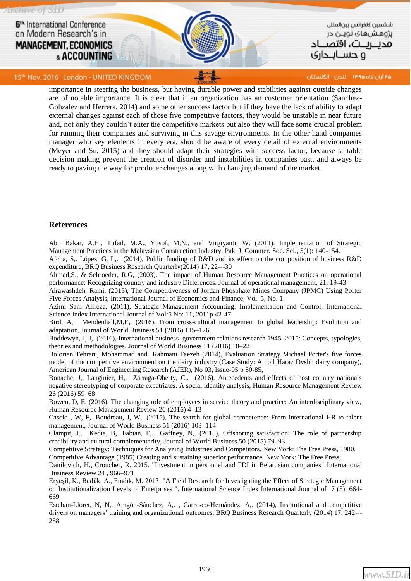

15th: Nov. 2016 London - UNITED KINGDOM

۲۵ آبان ماه ۱۳۹۵ - لندن - انگلستان

importance in steering the business, but having durable power and stabilities against outside changes are of notable importance. It is clear that if an organization has an customer orientation (Sanchez-Gohzalez and Herrera, 2014) and some other success factor but if they have the lack of ability to adapt external changes against each of those five competitive factors, they would be unstable in near future and, not only they couldn't enter the competitive markets but also they will face some crucial problem for running their companies and surviving in this savage environments. In the other hand companies manager who key elements in every era, should be aware of every detail of external environments (Meyer and Su, 2015) and they should adapt their strategies with success factor, because suitable decision making prevent the creation of disorder and instabilities in companies past, and always be ready to paving the way for producer changes along with changing demand of the market.

## **References**

Abu Bakar, A.H., Tufail, M.A., Yusof, M.N., and Virgiyanti, W. (2011). Implementation of Strategic Management Practices in the Malaysian Construction Industry. Pak. J. Commer. Soc. Sci., 5(1): 140-154.

Afcha, S,. López, G, L,. (2014), Public funding of R&D and its effect on the composition of business R&D expenditure, BRQ Business Research Quarterly(2014) 17, 22---30

Ahmad,S., & Schroeder, R.G, (2003). The impact of Human Resource Management Practices on operational performance: Recognizing country and industry Differences. Journal of operational management, 21, 19-43

Alrawashdeh, Rami. (2013), The Competitiveness of Jordan Phosphate Mines Company (JPMC) Using Porter Five Forces Analysis, International Journal of Economics and Finance; Vol. 5, No. 1

Azimi Sani Alireza, (2011), Strategic Management Accounting: Implementation and Control, International Science Index International Journal of Vol:5 No: 11, 2011p 42-47

Bird, A,. Mendenhall,M,E,. (2016), From cross-cultural management to global leadership: Evolution and adaptation, Journal of World Business 51 (2016) 115–126

Boddewyn, J, J,. (2016), International business–government relations research 1945–2015: Concepts, typologies, theories and methodologies, Journal of World Business 51 (2016) 10–22

Bolorian Tehrani, Mohammad and Rahmani Faezeh (2014), Evaluation Strategy Michael Porter's five forces model of the competitive environment on the dairy industry (Case Study: Amoll Haraz Dvshh dairy company), American Journal of Engineering Research (AJER), No 03, Issue-05 p 80-85,

Bonache, J,. Langinier, H,. Zárraga-Oberty, C,. (2016), Antecedents and effects of host country nationals negative stereotyping of corporate expatriates. A social identity analysis, Human Resource Management Review 26 (2016) 59–68

Bowen, D, E. (2016), The changing role of employees in service theory and practice: An interdisciplinary view, Human Resource Management Review 26 (2016) 4–13

Cascio , W, F,. Boudreau, J, W,. (2015), The search for global competence: From international HR to talent management, Journal of World Business 51 (2016) 103–114

Clampit, J,. Kedia, B,. Fabian, F,. Gaffney, N,. (2015), Offshoring satisfaction: The role of partnership credibility and cultural complementarity, Journal of World Business 50 (2015) 79–93

Competitive Strategy: Techniques for Analyzing Industries and Competitors. New York: The Free Press, 1980. Competitive Advantage (1985) Creating and sustaining superior performance. New York: The Free Press,.

Danilovich, H., Croucher, R. 2015. "Investment in personnel and FDI in Belarusian companies" International Business Review 24 , 966–971

Eryeşil, K., Bedük, A., Fındık, M. 2013. "A Field Research for Investigating the Effect of Strategic Management on Institutionalization Levels of Enterprises ". International Science Index International Journal of 7 (5), 664- 669

Esteban-Lloret, N, N,. Aragón-Sánchez, A,. , Carrasco-Hernández, A,. (2014), Institutional and competitive drivers on managers' training and organizational outcomes, BRQ Business Research Quarterly (2014) 17, 242--- 258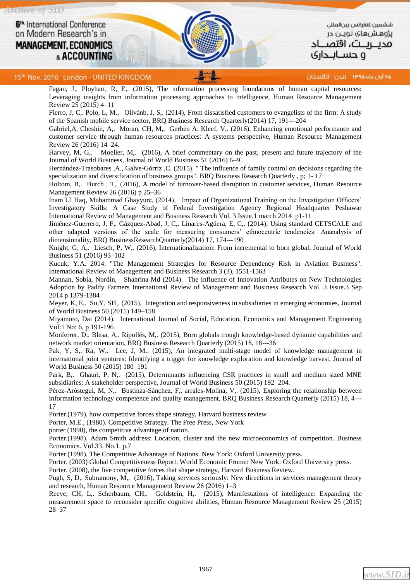۲۵ آبان ماه ۱۳۹۵ - انگلستان

15th: Nov. 2016 London - UNITED KINGDOM

Fagan, J,. Ployhart, R, E,. (2015), The information processing foundations of human capital resources: Leveraging insights from information processing approaches to intelligence, Human Resource Management Review 25 (2015) 4–11

Fierro, J, C,. Polo, L, M., Olivánb, J, S,. (2014), From dissatisfied customers to evangelists of the firm: A study of the Spanish mobile service sector, BRQ Business Research Quarterly(2014) 17, 191---204

Gabriel,A, Cheshin, A,. Moran, CH, M,. Gerben A. Kleef, V,. (2016), Enhancing emotional performance and customer service through human resources practices: A systems perspective, Human Resource Management Review 26 (2016) 14–24.

Harvey, M, G,. Moeller, M,. (2016), A brief commentary on the past, present and future trajectory of the Journal of World Business, Journal of World Business 51 (2016) 6–9

Hernández-Trasobares ,A., Galve-Górriz ,C. (2015). " The influence of family control on decisions regarding the specialization and diversification of business groups". BRQ Business Research Quarterly , p; 1- 17

Holtom, B,. Burch , T,. (2016), A model of turnover-based disruption in customer services, Human Resource Management Review 26 (2016) p 25–36

Inam Ul Haq, Muhammad Ghayyure, (2014), Impact of Organizational Training on the Investigation Officers' Investigatory Skills: A Case Study of Federal Investigation Agency Regional Headquarter Peshawar International Review of Management and Business Research Vol. 3 Issue.1 march 2014 p1-11

Jiménez-Guerrero, J, F,. Gázquez-Abad, J, C,. Linares-Agüera, E, C,. (2014), Using standard CETSCALE and other adapted versions of the scale for measuring consumers' ethnocentric tendencies: Ananalysis of dimensionality, BRQ BusinessResearchQuarterly(2014) 17, 174---190

Knight, G, A,. Liesch, P, W,. (2016), Internationalization: From incremental to born global, Journal of World Business 51 (2016) 93–102

Kucuk, Y.A. 2014. "The Management Strategies for Resource Dependency Risk in Aviation Business". International Review of Management and Business Research 3 (3), 1551-1563

Mannan, Sobia, Nordin, Shahrina Md (2014). The Influence of Innovation Attributes on New Technologies Adoption by Paddy Farmers International Review of Management and Business Research Vol. 3 Issue.3 Sep 2014 p 1379-1384

Meyer, K, E,. Su,Y, SH,. (2015), Integration and responsiveness in subsidiaries in emerging economies, Journal of World Business 50 (2015) 149–158

Miyamoto, Dai (2014). International Journal of Social, Education, Economics and Management Engineering Vol:1 No: 6, p 191-196

Monferrer, D,. Blesa, A,. Ripollés, M,. (2015), Born globals trough knowledge-based dynamic capabilities and network market orientation, BRQ Business Research Quarterly (2015) 18, 18---36

Pak, Y, S,. Ra, W,. Lee, J, M,. (2015), An integrated multi-stage model of knowledge management in international joint ventures: Identifying a trigger for knowledge exploration and knowledge harvest, Journal of World Business 50 (2015) 180–191

Park, B,. Ghauri, P, N,. (2015), Determinants influencing CSR practices in small and medium sized MNE subsidiaries: A stakeholder perspective, Journal of World Business 50 (2015) 192–204.

Pérez-Aróstegui, M, N,. Bustinza-Sánchez, F,. arrales-Molina, V,. (2015), Exploring the relationship between information technology competence and quality management, BRQ Business Research Quarterly (2015) 18, 4--- 17

Porter.(1979), how competitive forces shape strategy, Harvard business review

Porter, M.E., (1980). Competitive Strategy. The Free Press, New York

porter (1990), the competitive advantage of nation.

Porter.(1998). Adam Smith address: Location, cluster and the new microeconomics of competition. Business Economics. Vol.33. No.1. p.7

Porter (1998), The Competitive Advantage of Nations. New York: Oxford University press.

Porter. (2003) Global Competitiveness Report. World Economic Frume: New York: Oxford University press.

Porter. (2008), the five competitive forces that shape strategy, Harvard Business Review.

Pugh, S, D,. Subramony, M,. (2016), Taking services seriously: New directions in services management theory and research, Human Resource Management Review 26 (2016) 1–3

Reeve, CH, L,. Scherbaum, CH,. Goldstein, H,. (2015), Manifestations of intelligence: Expanding the measurement space to reconsider specific cognitive abilities, Human Resource Management Review 25 (2015) 28–37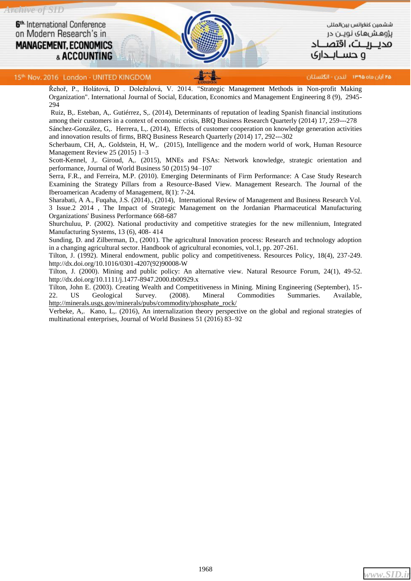

ششمين كنغرائس بين المللى پژوهشهای نویـن در محىرىت، اقتص ہ حســانـــداری

15th Nov. 2016 London - UNITED KINGDOM

۲۵ آبان ماه ۱۳۹۵ - لندن - انگلستان

Řehoř, P., Holátová, D . Doležalová, V. 2014. "Strategic Management Methods in Non-profit Making Organization". International Journal of Social, Education, Economics and Management Engineering 8 (9), 2945- 294

Ruiz, B,. Esteban, A,. Gutiérrez, S,. (2014), Determinants of reputation of leading Spanish financial institutions among their customers in a context of economic crisis, BRQ Business Research Quarterly (2014) 17, 259---278 Sánchez-González, G,. Herrera, L,. (2014), Effects of customer cooperation on knowledge generation activities and innovation results of firms, BRQ Business Research Quarterly (2014) 17, 292---302

Scherbaum, CH, A,. Goldstein, H, W,. (2015), Intelligence and the modern world of work, Human Resource Management Review 25 (2015) 1–3

Scott-Kennel, J,. Giroud, A,. (2015), MNEs and FSAs: Network knowledge, strategic orientation and performance, Journal of World Business 50 (2015) 94–107

Serra, F.R., and Ferreira, M.P. (2010). Emerging Determinants of Firm Performance: A Case Study Research Examining the Strategy Pillars from a Resource-Based View. Management Research. The Journal of the Iberoamerican Academy of Management, 8(1): 7-24.

Sharabati, A A., Fuqaha, J.S. (2014)., (2014), International Review of Management and Business Research Vol. 3 Issue.2 2014 , The Impact of Strategic Management on the Jordanian Pharmaceutical Manufacturing Organizations' Business Performance 668-687

Shurchuluu, P. (2002). National productivity and competitive strategies for the new millennium, Integrated Manufacturing Systems, 13 (6), 408- 414

Sunding, D. and Zilberman, D., (2001). The agricultural Innovation process: Research and technology adoption in a changing agricultural sector. Handbook of agricultural economies, vol.1, pp. 207-261.

Tilton, J. (1992). Mineral endowment, public policy and competitiveness. Resources Policy, 18(4), 237-249. http://dx.doi.org/10.1016/0301-4207(92)90008-W

Tilton, J. (2000). Mining and public policy: An alternative view. Natural Resource Forum, 24(1), 49-52. http://dx.doi.org/10.1111/j.1477-8947.2000.tb00929.x

Tilton, John E. (2003). Creating Wealth and Competitiveness in Mining. Mining Engineering (September), 15- 22. US Geological Survey. (2008). Mineral Commodities Summaries. Available, [http://minerals.usgs.gov/minerals/pubs/commodity/phosphate\\_rock/](http://minerals.usgs.gov/minerals/pubs/commodity/phosphate_rock/)

Verbeke, A,. Kano, L,. (2016), An internalization theory perspective on the global and regional strategies of multinational enterprises, Journal of World Business 51 (2016) 83–92